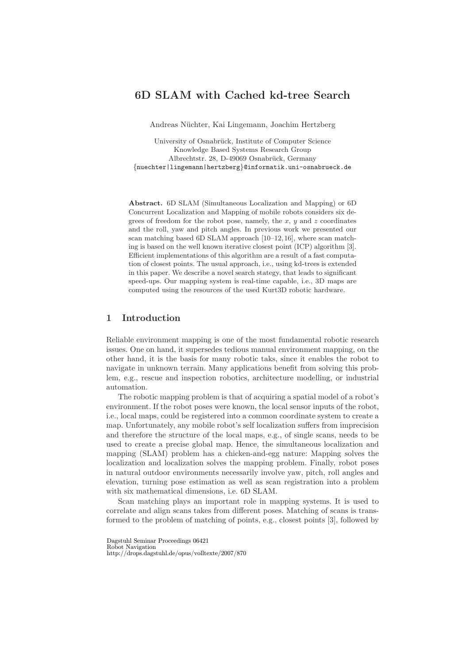## 6D SLAM with Cached kd-tree Search

Andreas Nüchter, Kai Lingemann, Joachim Hertzberg

University of Osnabrück, Institute of Computer Science Knowledge Based Systems Research Group Albrechtstr. 28, D-49069 Osnabrück, Germany {nuechter|lingemann|hertzberg}@informatik.uni-osnabrueck.de

Abstract. 6D SLAM (Simultaneous Localization and Mapping) or 6D Concurrent Localization and Mapping of mobile robots considers six degrees of freedom for the robot pose, namely, the  $x, y$  and  $z$  coordinates and the roll, yaw and pitch angles. In previous work we presented our scan matching based 6D SLAM approach [10–12, 16], where scan matching is based on the well known iterative closest point (ICP) algorithm [3]. Efficient implementations of this algorithm are a result of a fast computation of closest points. The usual approach, i.e., using kd-trees is extended in this paper. We describe a novel search stategy, that leads to significant speed-ups. Our mapping system is real-time capable, i.e., 3D maps are computed using the resources of the used Kurt3D robotic hardware.

## 1 Introduction

Reliable environment mapping is one of the most fundamental robotic research issues. One on hand, it supersedes tedious manual environment mapping, on the other hand, it is the basis for many robotic taks, since it enables the robot to navigate in unknown terrain. Many applications benefit from solving this problem, e.g., rescue and inspection robotics, architecture modelling, or industrial automation.

The robotic mapping problem is that of acquiring a spatial model of a robot's environment. If the robot poses were known, the local sensor inputs of the robot, i.e., local maps, could be registered into a common coordinate system to create a map. Unfortunately, any mobile robot's self localization suffers from imprecision and therefore the structure of the local maps, e.g., of single scans, needs to be used to create a precise global map. Hence, the simultaneous localization and mapping (SLAM) problem has a chicken-and-egg nature: Mapping solves the localization and localization solves the mapping problem. Finally, robot poses in natural outdoor environments necessarily involve yaw, pitch, roll angles and elevation, turning pose estimation as well as scan registration into a problem with six mathematical dimensions, i.e. 6D SLAM.

Scan matching plays an important role in mapping systems. It is used to correlate and align scans takes from different poses. Matching of scans is transformed to the problem of matching of points, e.g., closest points [3], followed by

Dagstuhl Seminar Proceedings 06421 Robot Navigation http://drops.dagstuhl.de/opus/volltexte/2007/870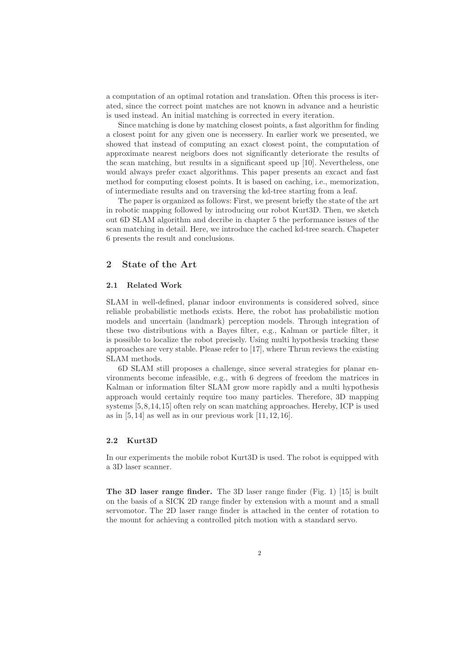a computation of an optimal rotation and translation. Often this process is iterated, since the correct point matches are not known in advance and a heuristic is used instead. An initial matching is corrected in every iteration.

Since matching is done by matching closest points, a fast algorithm for finding a closest point for any given one is necessery. In earlier work we presented, we showed that instead of computing an exact closest point, the computation of approximate nearest neigbors does not significantly deteriorate the results of the scan matching, but results in a significant speed up [10]. Nevertheless, one would always prefer exact algorithms. This paper presents an excact and fast method for computing closest points. It is based on caching, i.e., memorization, of intermediate results and on traversing the kd-tree starting from a leaf.

The paper is organized as follows: First, we present briefly the state of the art in robotic mapping followed by introducing our robot Kurt3D. Then, we sketch out 6D SLAM algorithm and decribe in chapter 5 the performance issues of the scan matching in detail. Here, we introduce the cached kd-tree search. Chapeter 6 presents the result and conclusions.

## 2 State of the Art

#### 2.1 Related Work

SLAM in well-defined, planar indoor environments is considered solved, since reliable probabilistic methods exists. Here, the robot has probabilistic motion models and uncertain (landmark) perception models. Through integration of these two distributions with a Bayes filter, e.g., Kalman or particle filter, it is possible to localize the robot precisely. Using multi hypothesis tracking these approaches are very stable. Please refer to [17], where Thrun reviews the existing SLAM methods.

6D SLAM still proposes a challenge, since several strategies for planar environments become infeasible, e.g., with 6 degrees of freedom the matrices in Kalman or information filter SLAM grow more rapidly and a multi hypothesis approach would certainly require too many particles. Therefore, 3D mapping systems [5,8,14,15] often rely on scan matching approaches. Hereby, ICP is used as in  $[5, 14]$  as well as in our previous work  $[11, 12, 16]$ .

#### 2.2 Kurt3D

In our experiments the mobile robot Kurt3D is used. The robot is equipped with a 3D laser scanner.

The 3D laser range finder. The 3D laser range finder (Fig. 1) [15] is built on the basis of a SICK 2D range finder by extension with a mount and a small servomotor. The 2D laser range finder is attached in the center of rotation to the mount for achieving a controlled pitch motion with a standard servo.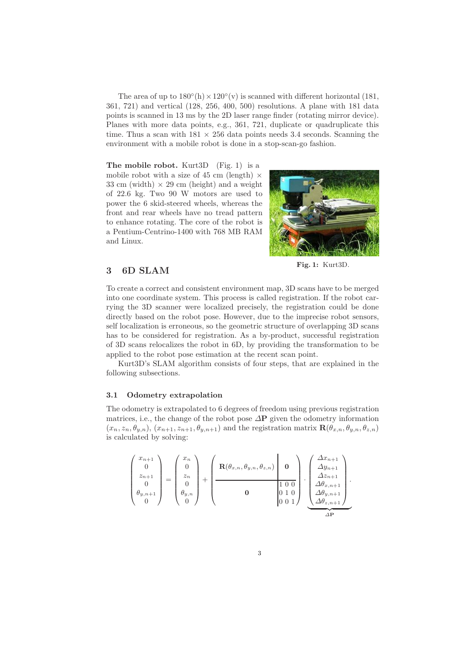The area of up to  $180^\circ(h) \times 120^\circ(v)$  is scanned with different horizontal (181, 361, 721) and vertical (128, 256, 400, 500) resolutions. A plane with 181 data points is scanned in 13 ms by the 2D laser range finder (rotating mirror device). Planes with more data points, e.g., 361, 721, duplicate or quadruplicate this time. Thus a scan with  $181 \times 256$  data points needs 3.4 seconds. Scanning the environment with a mobile robot is done in a stop-scan-go fashion.

The mobile robot. Kurt3D (Fig. 1) is a mobile robot with a size of 45 cm (length)  $\times$ 33 cm (width)  $\times$  29 cm (height) and a weight of 22.6 kg. Two 90 W motors are used to power the 6 skid-steered wheels, whereas the front and rear wheels have no tread pattern to enhance rotating. The core of the robot is a Pentium-Centrino-1400 with 768 MB RAM and Linux.



# Fig. 1: Kurt3D. 3 6D SLAM

To create a correct and consistent environment map, 3D scans have to be merged into one coordinate system. This process is called registration. If the robot carrying the 3D scanner were localized precisely, the registration could be done directly based on the robot pose. However, due to the imprecise robot sensors, self localization is erroneous, so the geometric structure of overlapping 3D scans has to be considered for registration. As a by-product, successful registration of 3D scans relocalizes the robot in 6D, by providing the transformation to be applied to the robot pose estimation at the recent scan point.

Kurt3D's SLAM algorithm consists of four steps, that are explained in the following subsections.

#### 3.1 Odometry extrapolation

The odometry is extrapolated to 6 degrees of freedom using previous registration matrices, i.e., the change of the robot pose  $\Delta P$  given the odometry information  $(x_n, z_n, \theta_{y,n}), (x_{n+1}, z_{n+1}, \theta_{y,n+1})$  and the registration matrix  $\mathbf{R}(\theta_{x,n}, \theta_{y,n}, \theta_{z,n})$ is calculated by solving:

$$
\begin{pmatrix} x_{n+1} \\ 0 \\ z_{n+1} \\ 0 \\ \theta_{y,n+1} \\ 0 \end{pmatrix} = \begin{pmatrix} x_n \\ 0 \\ z_n \\ 0 \\ \theta_{y,n} \\ 0 \end{pmatrix} + \begin{pmatrix} \mathbf{R}(\theta_{x,n}, \theta_{y,n}, \theta_{z,n}) & \mathbf{0} \\ \mathbf{R}(\theta_{x,n}, \theta_{y,n}, \theta_{z,n}) & \mathbf{0} \\ \mathbf{R}(\theta_{x,n}, \theta_{y,n}, \theta_{z,n}) & \mathbf{0} \\ \mathbf{0} & \mathbf{0} & \mathbf{0} \\ \mathbf{0} & \mathbf{0} & \mathbf{0} \end{pmatrix} \cdot \begin{pmatrix} \Delta x_{n+1} \\ \Delta y_{n+1} \\ \Delta z_{n+1} \\ \Delta \theta_{x,n+1} \\ \Delta \theta_{y,n+1} \\ \Delta \theta_{z,n+1} \end{pmatrix}.
$$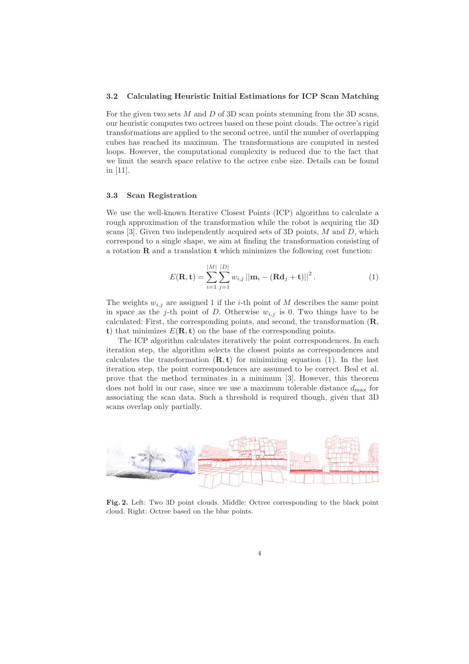#### 3.2 Calculating Heuristic Initial Estimations for ICP Scan Matching

For the given two sets  $M$  and  $D$  of 3D scan points stemming from the 3D scans, our heuristic computes two octrees based on these point clouds. The octree's rigid transformations are applied to the second octree, until the number of overlapping cubes has reached its maximum. The transformations are computed in nested loops. However, the computational complexity is reduced due to the fact that we limit the search space relative to the octree cube size. Details can be found in [11].

#### 3.3 Scan Registration

We use the well-known Iterative Closest Points (ICP) algorithm to calculate a rough approximation of the transformation while the robot is acquiring the 3D scans [3]. Given two independently acquired sets of 3D points,  $M$  and  $D$ , which correspond to a single shape, we aim at finding the transformation consisting of a rotation  **and a translation**  $**t**$  **which minimizes the following cost function:** 

$$
E(\mathbf{R}, \mathbf{t}) = \sum_{i=1}^{|M|} \sum_{j=1}^{|D|} w_{i,j} ||\mathbf{m}_i - (\mathbf{R}\mathbf{d}_j + \mathbf{t})||^2.
$$
 (1)

The weights  $w_{i,j}$  are assigned 1 if the *i*-th point of M describes the same point in space as the j-th point of D. Otherwise  $w_{i,j}$  is 0. Two things have to be calculated: First, the corresponding points, and second, the transformation (R, t) that minimizes  $E(\mathbf{R}, t)$  on the base of the corresponding points.

The ICP algorithm calculates iteratively the point correspondences. In each iteration step, the algorithm selects the closest points as correspondences and calculates the transformation  $(\mathbf{R}, t)$  for minimizing equation (1). In the last iteration step, the point correspondences are assumed to be correct. Besl et al. prove that the method terminates in a minimum [3]. However, this theorem does not hold in our case, since we use a maximum tolerable distance  $d_{\text{max}}$  for associating the scan data. Such a threshold is required though, given that 3D scans overlap only partially.



Fig. 2. Left: Two 3D point clouds. Middle: Octree corresponding to the black point cloud. Right: Octree based on the blue points.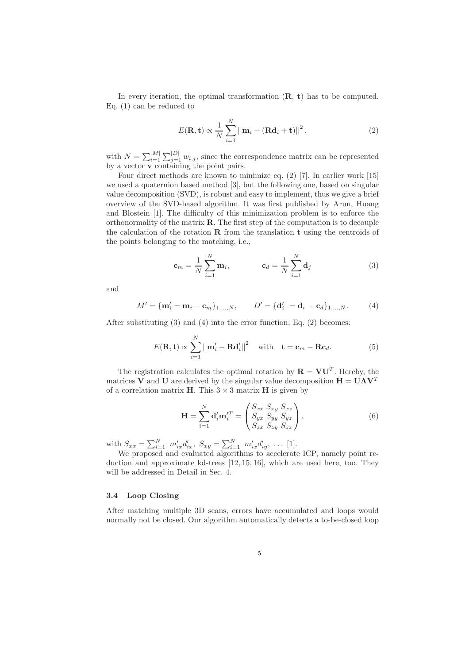In every iteration, the optimal transformation  $(\mathbf{R}, \mathbf{t})$  has to be computed. Eq. (1) can be reduced to

$$
E(\mathbf{R}, \mathbf{t}) \propto \frac{1}{N} \sum_{i=1}^{N} ||\mathbf{m}_i - (\mathbf{R} \mathbf{d}_i + \mathbf{t})||^2, \qquad (2)
$$

with  $N = \sum_{i=1}^{|M|} \sum_{j=1}^{|D|} w_{i,j}$ , since the correspondence matrix can be represented by a vector v containing the point pairs.

Four direct methods are known to minimize eq. (2) [7]. In earlier work [15] we used a quaternion based method [3], but the following one, based on singular value decomposition (SVD), is robust and easy to implement, thus we give a brief overview of the SVD-based algorithm. It was first published by Arun, Huang and Blostein [1]. The difficulty of this minimization problem is to enforce the orthonormality of the matrix  $\bf{R}$ . The first step of the computation is to decouple the calculation of the rotation  $\bf{R}$  from the translation  $\bf{t}$  using the centroids of the points belonging to the matching, i.e.,

$$
\mathbf{c}_{m} = \frac{1}{N} \sum_{i=1}^{N} \mathbf{m}_{i}, \qquad \mathbf{c}_{d} = \frac{1}{N} \sum_{i=1}^{N} \mathbf{d}_{j}
$$
(3)

and

$$
M' = \{ \mathbf{m}'_i = \mathbf{m}_i - \mathbf{c}_m \}_{1,...,N}, \qquad D' = \{ \mathbf{d}'_i = \mathbf{d}_i - \mathbf{c}_d \}_{1,...,N}.
$$
 (4)

After substituting (3) and (4) into the error function, Eq. (2) becomes:

$$
E(\mathbf{R}, \mathbf{t}) \propto \sum_{i=1}^{N} ||\mathbf{m}'_i - \mathbf{R} \mathbf{d}'_i||^2 \quad \text{with} \quad \mathbf{t} = \mathbf{c}_m - \mathbf{R} \mathbf{c}_d. \tag{5}
$$

The registration calculates the optimal rotation by  $\mathbf{R} = \mathbf{V}\mathbf{U}^T$ . Hereby, the matrices V and U are derived by the singular value decomposition  $H = U\Lambda V^{T}$ of a correlation matrix **H**. This  $3 \times 3$  matrix **H** is given by

$$
\mathbf{H} = \sum_{i=1}^{N} \mathbf{d}'_{i} \mathbf{m}'^{T}_{i} = \begin{pmatrix} S_{xx} S_{xy} S_{xz} \\ S_{yx} S_{yy} S_{yz} \\ S_{zx} S_{zy} S_{zz} \end{pmatrix},
$$
(6)

with  $S_{xx} = \sum_{i=1}^{N} m'_{ix} d'_{ix}, S_{xy} = \sum_{i=1}^{N} m'_{ix} d'_{iy}, \dots$  [1].

We proposed and evaluated algorithms to accelerate ICP, namely point reduction and approximate kd-trees [12, 15, 16], which are used here, too. They will be addressed in Detail in Sec. 4.

### 3.4 Loop Closing

After matching multiple 3D scans, errors have accumulated and loops would normally not be closed. Our algorithm automatically detects a to-be-closed loop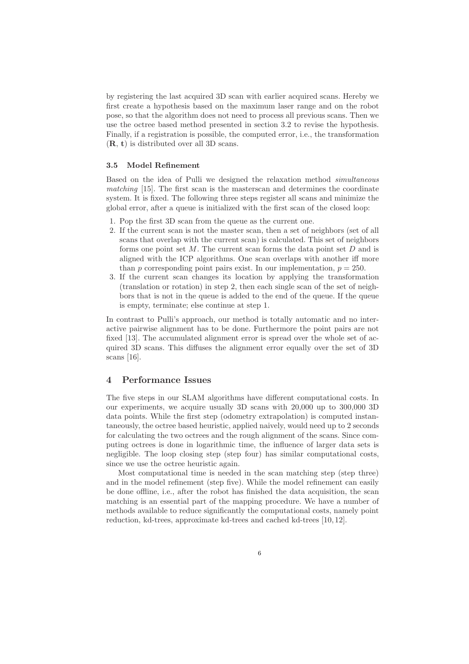by registering the last acquired 3D scan with earlier acquired scans. Hereby we first create a hypothesis based on the maximum laser range and on the robot pose, so that the algorithm does not need to process all previous scans. Then we use the octree based method presented in section 3.2 to revise the hypothesis. Finally, if a registration is possible, the computed error, i.e., the transformation (R, t) is distributed over all 3D scans.

#### 3.5 Model Refinement

Based on the idea of Pulli we designed the relaxation method simultaneous matching [15]. The first scan is the masterscan and determines the coordinate system. It is fixed. The following three steps register all scans and minimize the global error, after a queue is initialized with the first scan of the closed loop:

- 1. Pop the first 3D scan from the queue as the current one.
- 2. If the current scan is not the master scan, then a set of neighbors (set of all scans that overlap with the current scan) is calculated. This set of neighbors forms one point set  $M$ . The current scan forms the data point set  $D$  and is aligned with the ICP algorithms. One scan overlaps with another iff more than p corresponding point pairs exist. In our implementation,  $p = 250$ .
- 3. If the current scan changes its location by applying the transformation (translation or rotation) in step 2, then each single scan of the set of neighbors that is not in the queue is added to the end of the queue. If the queue is empty, terminate; else continue at step 1.

In contrast to Pulli's approach, our method is totally automatic and no interactive pairwise alignment has to be done. Furthermore the point pairs are not fixed [13]. The accumulated alignment error is spread over the whole set of acquired 3D scans. This diffuses the alignment error equally over the set of 3D scans [16].

## 4 Performance Issues

The five steps in our SLAM algorithms have different computational costs. In our experiments, we acquire usually 3D scans with 20,000 up to 300,000 3D data points. While the first step (odometry extrapolation) is computed instantaneously, the octree based heuristic, applied naively, would need up to 2 seconds for calculating the two octrees and the rough alignment of the scans. Since computing octrees is done in logarithmic time, the influence of larger data sets is negligible. The loop closing step (step four) has similar computational costs, since we use the octree heuristic again.

Most computational time is needed in the scan matching step (step three) and in the model refinement (step five). While the model refinement can easily be done offline, i.e., after the robot has finished the data acquisition, the scan matching is an essential part of the mapping procedure. We have a number of methods available to reduce significantly the computational costs, namely point reduction, kd-trees, approximate kd-trees and cached kd-trees [10, 12].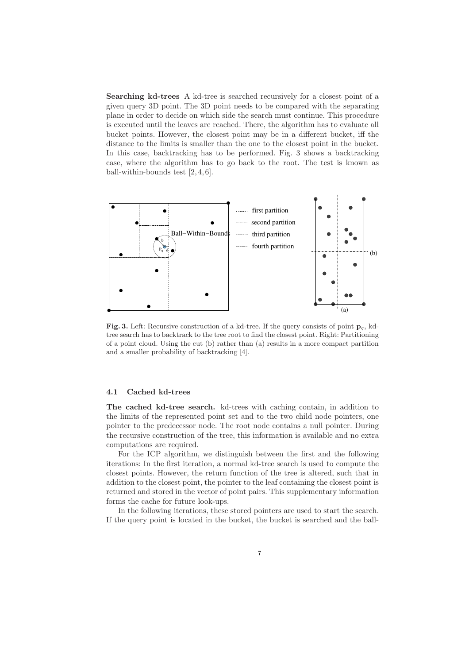Searching kd-trees A kd-tree is searched recursively for a closest point of a given query 3D point. The 3D point needs to be compared with the separating plane in order to decide on which side the search must continue. This procedure is executed until the leaves are reached. There, the algorithm has to evaluate all bucket points. However, the closest point may be in a different bucket, iff the distance to the limits is smaller than the one to the closest point in the bucket. In this case, backtracking has to be performed. Fig. 3 shows a backtracking case, where the algorithm has to go back to the root. The test is known as ball-within-bounds test [2, 4, 6].



**Fig. 3.** Left: Recursive construction of a kd-tree. If the query consists of point  $\mathbf{p}_q$ , kdtree search has to backtrack to the tree root to find the closest point. Right: Partitioning of a point cloud. Using the cut (b) rather than (a) results in a more compact partition and a smaller probability of backtracking [4].

## 4.1 Cached kd-trees

The cached kd-tree search. kd-trees with caching contain, in addition to the limits of the represented point set and to the two child node pointers, one pointer to the predecessor node. The root node contains a null pointer. During the recursive construction of the tree, this information is available and no extra computations are required.

For the ICP algorithm, we distinguish between the first and the following iterations: In the first iteration, a normal kd-tree search is used to compute the closest points. However, the return function of the tree is altered, such that in addition to the closest point, the pointer to the leaf containing the closest point is returned and stored in the vector of point pairs. This supplementary information forms the cache for future look-ups.

In the following iterations, these stored pointers are used to start the search. If the query point is located in the bucket, the bucket is searched and the ball-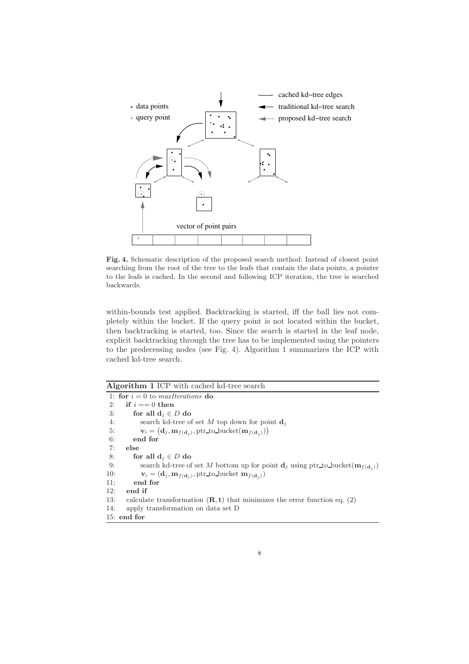

Fig. 4. Schematic description of the proposed search method: Instead of closest point searching from the root of the tree to the leafs that contain the data points, a pointer to the leafs is cached. In the second and following ICP iteration, the tree is searched backwards.

within-bounds test applied. Backtracking is started, iff the ball lies not completely within the bucket. If the query point is not located within the bucket, then backtracking is started, too. Since the search is started in the leaf node, explicit backtracking through the tree has to be implemented using the pointers to the predecessing nodes (see Fig. 4). Algorithm 1 summarizes the ICP with cached kd-tree search.

## Algorithm 1 ICP with cached kd-tree search 1: for  $i = 0$  to maxIterations do 2: if  $i == 0$  then 3: for all  $\mathbf{d}_i \in D$  do 4: search kd-tree of set M top down for point  $\mathbf{d}_i$ 5:  $\mathbf{v}_i = (\mathbf{d}_j, \mathbf{m}_{f(\mathbf{d}_j)}, \text{ptr\_to\_bucket}(\mathbf{m}_{f(\mathbf{d}_j)})$ 6: end for 7: else 8: for all  $\mathbf{d}_i \in D$  do 9: search kd-tree of set M bottom up for point  $\mathbf{d}_j$  using ptr\_to\_bucket $(\mathbf{m}_{f(\mathbf{d}_j)})$ <br>10:  $\mathbf{v}_i = (\mathbf{d}_i, \mathbf{m}_{f(\mathbf{d}_i)}), \text{ptr\_to\_bucket}(\mathbf{m}_{f(\mathbf{d}_i)})$ 10:  $\mathbf{v}_i = (\mathbf{d}_j, \mathbf{m}_{f(\mathbf{d}_j)}, \text{ptr_to_bucket } \mathbf{m}_{f(\mathbf{d}_j)})$ 11: end for 12: end if 13: calculate transformation  $(\mathbf{R}, \mathbf{t})$  that minimizes the error function eq. (2) 14: apply transformation on data set D 15: end for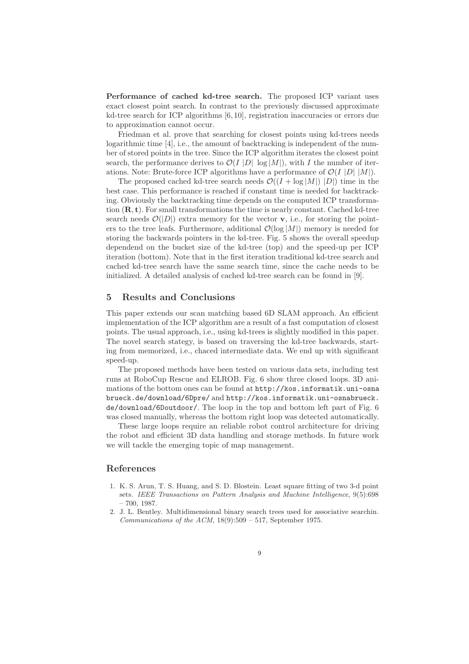Performance of cached kd-tree search. The proposed ICP variant uses exact closest point search. In contrast to the previously discussed approximate kd-tree search for ICP algorithms [6, 10], registration inaccuracies or errors due to approximation cannot occur.

Friedman et al. prove that searching for closest points using kd-trees needs logarithmic time [4], i.e., the amount of backtracking is independent of the number of stored points in the tree. Since the ICP algorithm iterates the closest point search, the performance derives to  $\mathcal{O}(I |D| \log |M|)$ , with I the number of iterations. Note: Brute-force ICP algorithms have a performance of  $\mathcal{O}(I |D| |M|)$ .

The proposed cached kd-tree search needs  $\mathcal{O}((I + \log|M|) |D|)$  time in the best case. This performance is reached if constant time is needed for backtracking. Obviously the backtracking time depends on the computed ICP transformation  $(R, t)$ . For small transformations the time is nearly constant. Cached kd-tree search needs  $\mathcal{O}(|D|)$  extra memory for the vector **v**, i.e., for storing the pointers to the tree leafs. Furthermore, additional  $\mathcal{O}(\log|M|)$  memory is needed for storing the backwards pointers in the kd-tree. Fig. 5 shows the overall speedup dependend on the bucket size of the kd-tree (top) and the speed-up per ICP iteration (bottom). Note that in the first iteration traditional kd-tree search and cached kd-tree search have the same search time, since the cache needs to be initialized. A detailed analysis of cached kd-tree search can be found in [9].

## 5 Results and Conclusions

This paper extends our scan matching based 6D SLAM approach. An efficient implementation of the ICP algorithm are a result of a fast computation of closest points. The usual approach, i.e., using kd-trees is slightly modified in this paper. The novel search stategy, is based on traversing the kd-tree backwards, starting from memorized, i.e., chaced intermediate data. We end up with significant speed-up.

The proposed methods have been tested on various data sets, including test runs at RoboCup Rescue and ELROB. Fig. 6 show three closed loops. 3D animations of the bottom ones can be found at  $http://kos.informatik.uni-osna$ brueck.de/download/6Dpre/ and http://kos.informatik.uni-osnabrueck. de/download/6Doutdoor/. The loop in the top and bottom left part of Fig. 6 was closed manually, whereas the bottom right loop was detected automatically.

These large loops require an reliable robot control architecture for driving the robot and efficient 3D data handling and storage methods. In future work we will tackle the emerging topic of map management.

## References

- 1. K. S. Arun, T. S. Huang, and S. D. Blostein. Least square fitting of two 3-d point sets. IEEE Transactions on Pattern Analysis and Machine Intelligence, 9(5):698 – 700, 1987.
- 2. J. L. Bentley. Multidimensional binary search trees used for associative searchin. Communications of the ACM,  $18(9):509 - 517$ , September 1975.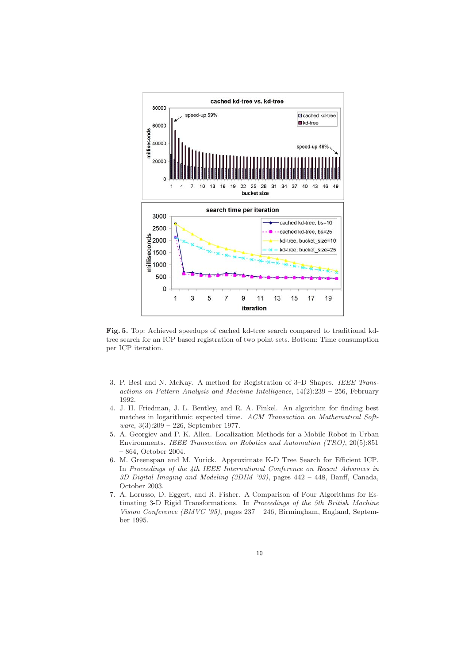

Fig. 5. Top: Achieved speedups of cached kd-tree search compared to traditional kdtree search for an ICP based registration of two point sets. Bottom: Time consumption per ICP iteration.

- 3. P. Besl and N. McKay. A method for Registration of 3–D Shapes. IEEE Transactions on Pattern Analysis and Machine Intelligence, 14(2):239 – 256, February 1992.
- 4. J. H. Friedman, J. L. Bentley, and R. A. Finkel. An algorithm for finding best matches in logarithmic expected time. ACM Transaction on Mathematical Software, 3(3):209 – 226, September 1977.
- 5. A. Georgiev and P. K. Allen. Localization Methods for a Mobile Robot in Urban Environments. IEEE Transaction on Robotics and Automation (TRO), 20(5):851 – 864, October 2004.
- 6. M. Greenspan and M. Yurick. Approximate K-D Tree Search for Efficient ICP. In Proceedings of the 4th IEEE International Conference on Recent Advances in 3D Digital Imaging and Modeling (3DIM '03), pages 442 – 448, Banff, Canada, October 2003.
- 7. A. Lorusso, D. Eggert, and R. Fisher. A Comparison of Four Algorithms for Estimating 3-D Rigid Transformations. In Proceedings of the 5th British Machine Vision Conference (BMVC '95), pages 237 – 246, Birmingham, England, September 1995.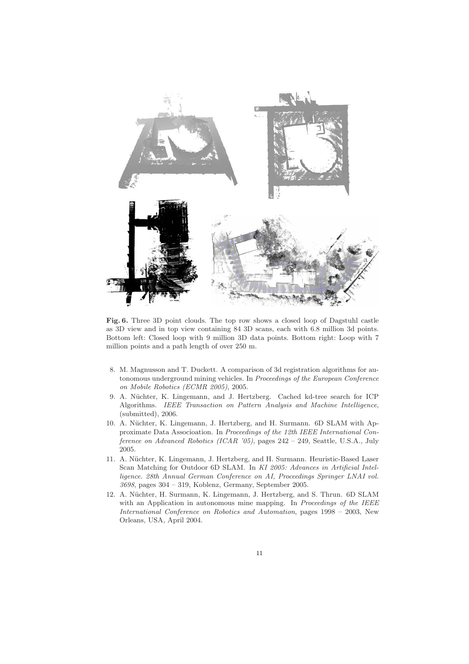

Fig. 6. Three 3D point clouds. The top row shows a closed loop of Dagstuhl castle as 3D view and in top view containing 84 3D scans, each with 6.8 million 3d points. Bottom left: Closed loop with 9 million 3D data points. Bottom right: Loop with 7 million points and a path length of over 250 m.

- 8. M. Magnusson and T. Duckett. A comparison of 3d registration algorithms for autonomous underground mining vehicles. In Proceedings of the European Conference on Mobile Robotics (ECMR 2005), 2005.
- 9. A. Nüchter, K. Lingemann, and J. Hertzberg. Cached kd-tree search for ICP Algorithms. IEEE Transaction on Pattern Analysis and Machine Intelligence, (submitted), 2006.
- 10. A. Nüchter, K. Lingemann, J. Hertzberg, and H. Surmann. 6D SLAM with Approximate Data Associoation. In Proceedings of the 12th IEEE International Conference on Advanced Robotics (ICAR '05), pages 242 – 249, Seattle, U.S.A., July 2005.
- 11. A. Nüchter, K. Lingemann, J. Hertzberg, and H. Surmann. Heuristic-Based Laser Scan Matching for Outdoor 6D SLAM. In KI 2005: Advances in Artificial Intelligence. 28th Annual German Conference on AI, Proceedings Springer LNAI vol. 3698, pages 304 – 319, Koblenz, Germany, September 2005.
- 12. A. Nüchter, H. Surmann, K. Lingemann, J. Hertzberg, and S. Thrun. 6D SLAM with an Application in autonomous mine mapping. In Proceedings of the IEEE International Conference on Robotics and Automation, pages 1998 – 2003, New Orleans, USA, April 2004.